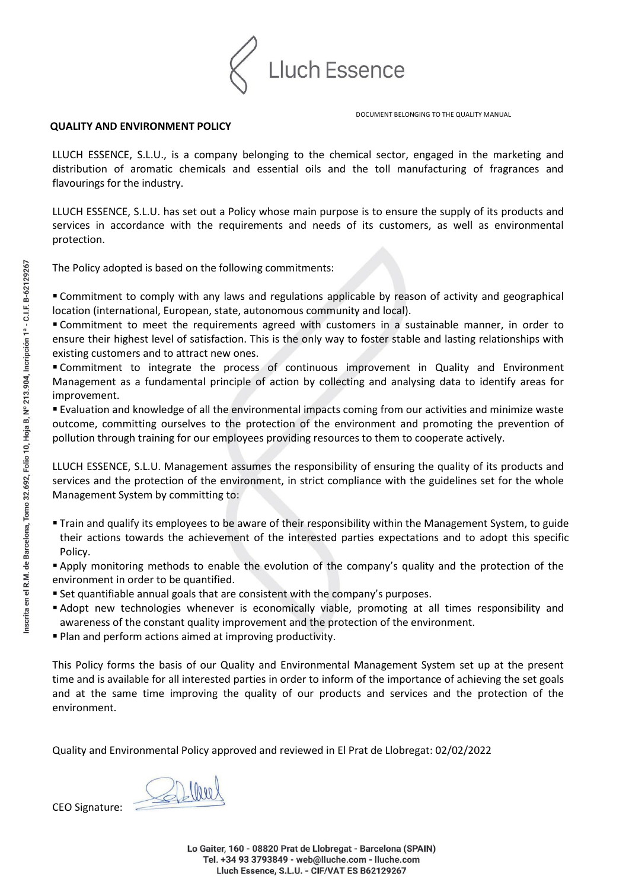

DOCUMENT BELONGING TO THE QUALITY MANUAL

## **QUALITY AND ENVIRONMENT POLICY**

LLUCH ESSENCE, S.L.U., is a company belonging to the chemical sector, engaged in the marketing and distribution of aromatic chemicals and essential oils and the toll manufacturing of fragrances and flavourings for the industry.

LLUCH ESSENCE, S.L.U. has set out a Policy whose main purpose is to ensure the supply of its products and services in accordance with the requirements and needs of its customers, as well as environmental protection.

The Policy adopted is based on the following commitments:

 Commitment to comply with any laws and regulations applicable by reason of activity and geographical location (international, European, state, autonomous community and local).

 Commitment to meet the requirements agreed with customers in a sustainable manner, in order to ensure their highest level of satisfaction. This is the only way to foster stable and lasting relationships with existing customers and to attract new ones.

 Commitment to integrate the process of continuous improvement in Quality and Environment Management as a fundamental principle of action by collecting and analysing data to identify areas for improvement.

 Evaluation and knowledge of all the environmental impacts coming from our activities and minimize waste outcome, committing ourselves to the protection of the environment and promoting the prevention of pollution through training for our employees providing resources to them to cooperate actively.

LLUCH ESSENCE, S.L.U. Management assumes the responsibility of ensuring the quality of its products and services and the protection of the environment, in strict compliance with the guidelines set for the whole Management System by committing to:

 Train and qualify its employees to be aware of their responsibility within the Management System, to guide their actions towards the achievement of the interested parties expectations and to adopt this specific Policy.

 Apply monitoring methods to enable the evolution of the company's quality and the protection of the environment in order to be quantified.

- Set quantifiable annual goals that are consistent with the company's purposes.
- Adopt new technologies whenever is economically viable, promoting at all times responsibility and awareness of the constant quality improvement and the protection of the environment.
- Plan and perform actions aimed at improving productivity.

This Policy forms the basis of our Quality and Environmental Management System set up at the present time and is available for all interested parties in order to inform of the importance of achieving the set goals and at the same time improving the quality of our products and services and the protection of the environment.

Quality and Environmental Policy approved and reviewed in El Prat de Llobregat: 02/02/2022

CEO Signature:

Lo Gaiter, 160 - 08820 Prat de Llobregat - Barcelona (SPAIN) Tel. +34 93 3793849 - web@lluche.com - lluche.com Lluch Essence, S.L.U. - CIF/VAT ES B62129267